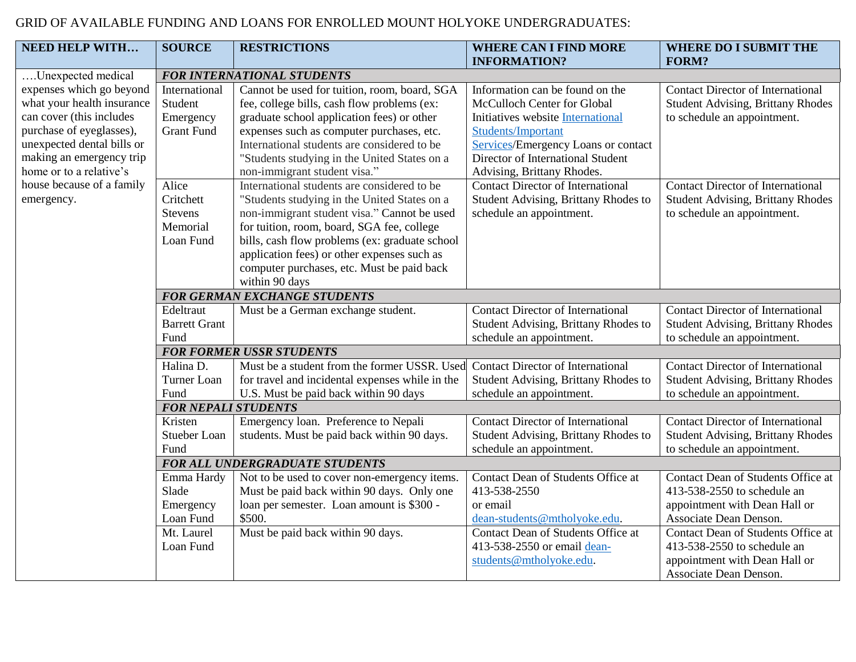## GRID OF AVAILABLE FUNDING AND LOANS FOR ENROLLED MOUNT HOLYOKE UNDERGRADUATES:

| <b>NEED HELP WITH</b>      | <b>SOURCE</b>                       | <b>RESTRICTIONS</b>                             | <b>WHERE CAN I FIND MORE</b>              | <b>WHERE DO I SUBMIT THE</b>             |  |
|----------------------------|-------------------------------------|-------------------------------------------------|-------------------------------------------|------------------------------------------|--|
|                            |                                     |                                                 | <b>INFORMATION?</b>                       | <b>FORM?</b>                             |  |
| Unexpected medical         | <b>FOR INTERNATIONAL STUDENTS</b>   |                                                 |                                           |                                          |  |
| expenses which go beyond   | International                       | Cannot be used for tuition, room, board, SGA    | Information can be found on the           | <b>Contact Director of International</b> |  |
| what your health insurance | Student                             | fee, college bills, cash flow problems (ex:     | McCulloch Center for Global               | <b>Student Advising, Brittany Rhodes</b> |  |
| can cover (this includes   | Emergency                           | graduate school application fees) or other      | Initiatives website International         | to schedule an appointment.              |  |
| purchase of eyeglasses),   | <b>Grant Fund</b>                   | expenses such as computer purchases, etc.       | Students/Important                        |                                          |  |
| unexpected dental bills or |                                     | International students are considered to be     | Services/Emergency Loans or contact       |                                          |  |
| making an emergency trip   |                                     | "Students studying in the United States on a    | Director of International Student         |                                          |  |
| home or to a relative's    |                                     | non-immigrant student visa."                    | Advising, Brittany Rhodes.                |                                          |  |
| house because of a family  | Alice                               | International students are considered to be     | <b>Contact Director of International</b>  | <b>Contact Director of International</b> |  |
| emergency.                 | Critchett                           | "Students studying in the United States on a    | Student Advising, Brittany Rhodes to      | <b>Student Advising, Brittany Rhodes</b> |  |
|                            | <b>Stevens</b>                      | non-immigrant student visa." Cannot be used     | schedule an appointment.                  | to schedule an appointment.              |  |
|                            | Memorial                            | for tuition, room, board, SGA fee, college      |                                           |                                          |  |
|                            | Loan Fund                           | bills, cash flow problems (ex: graduate school  |                                           |                                          |  |
|                            |                                     | application fees) or other expenses such as     |                                           |                                          |  |
|                            |                                     | computer purchases, etc. Must be paid back      |                                           |                                          |  |
|                            |                                     | within 90 days                                  |                                           |                                          |  |
|                            | <b>FOR GERMAN EXCHANGE STUDENTS</b> |                                                 |                                           |                                          |  |
|                            | Edeltraut                           | Must be a German exchange student.              | <b>Contact Director of International</b>  | <b>Contact Director of International</b> |  |
|                            | <b>Barrett Grant</b>                |                                                 | Student Advising, Brittany Rhodes to      | <b>Student Advising, Brittany Rhodes</b> |  |
|                            | Fund                                |                                                 | schedule an appointment.                  | to schedule an appointment.              |  |
|                            |                                     | <b>FOR FORMER USSR STUDENTS</b>                 |                                           |                                          |  |
|                            | Halina D.                           | Must be a student from the former USSR. Used    | <b>Contact Director of International</b>  | <b>Contact Director of International</b> |  |
|                            | Turner Loan                         | for travel and incidental expenses while in the | Student Advising, Brittany Rhodes to      | <b>Student Advising, Brittany Rhodes</b> |  |
|                            | Fund                                | U.S. Must be paid back within 90 days           | schedule an appointment.                  | to schedule an appointment.              |  |
|                            |                                     | <b>FOR NEPALI STUDENTS</b>                      |                                           |                                          |  |
|                            | Kristen                             | Emergency loan. Preference to Nepali            | <b>Contact Director of International</b>  | <b>Contact Director of International</b> |  |
|                            | Stueber Loan                        | students. Must be paid back within 90 days.     | Student Advising, Brittany Rhodes to      | <b>Student Advising, Brittany Rhodes</b> |  |
|                            | Fund                                |                                                 | schedule an appointment.                  | to schedule an appointment.              |  |
|                            |                                     | <b>FOR ALL UNDERGRADUATE STUDENTS</b>           |                                           |                                          |  |
|                            | Emma Hardy                          | Not to be used to cover non-emergency items.    | Contact Dean of Students Office at        | Contact Dean of Students Office at       |  |
|                            | Slade                               | Must be paid back within 90 days. Only one      | 413-538-2550                              | 413-538-2550 to schedule an              |  |
|                            | Emergency                           | loan per semester. Loan amount is \$300 -       | or email                                  | appointment with Dean Hall or            |  |
|                            | Loan Fund                           | \$500.                                          | dean-students@mtholyoke.edu.              | Associate Dean Denson.                   |  |
|                            | Mt. Laurel                          | Must be paid back within 90 days.               | <b>Contact Dean of Students Office at</b> | Contact Dean of Students Office at       |  |
|                            | Loan Fund                           |                                                 | 413-538-2550 or email dean-               | 413-538-2550 to schedule an              |  |
|                            |                                     |                                                 | students@mtholyoke.edu.                   | appointment with Dean Hall or            |  |
|                            |                                     |                                                 |                                           | Associate Dean Denson.                   |  |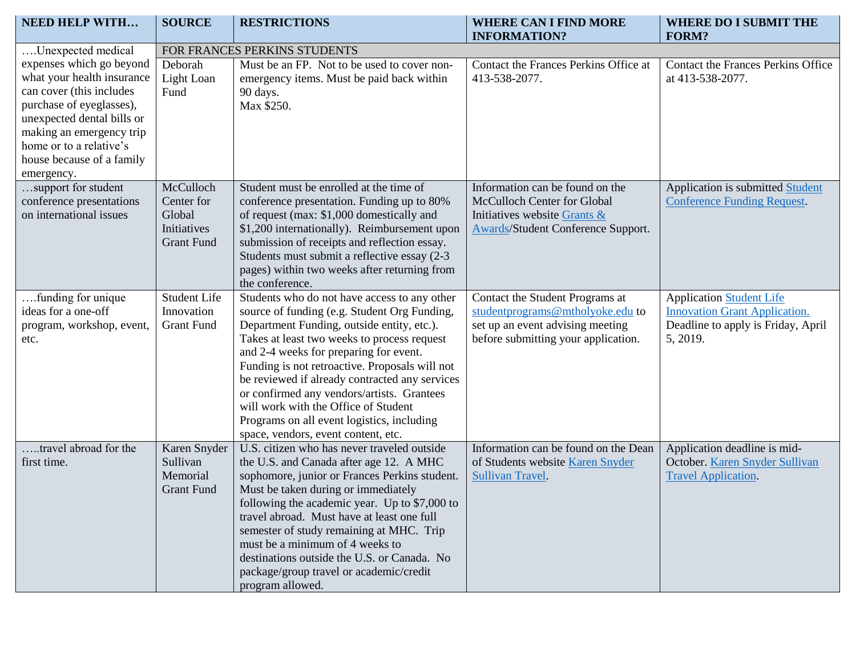| <b>NEED HELP WITH</b>                                                                                                                                                                                                                          | <b>SOURCE</b>                                                         | <b>RESTRICTIONS</b>                                                                                                                                                                                                                                                                                                                                                                                                                                                                                                | <b>WHERE CAN I FIND MORE</b><br><b>INFORMATION?</b>                                                                                            | <b>WHERE DO I SUBMIT THE</b><br><b>FORM?</b>                                                                              |  |
|------------------------------------------------------------------------------------------------------------------------------------------------------------------------------------------------------------------------------------------------|-----------------------------------------------------------------------|--------------------------------------------------------------------------------------------------------------------------------------------------------------------------------------------------------------------------------------------------------------------------------------------------------------------------------------------------------------------------------------------------------------------------------------------------------------------------------------------------------------------|------------------------------------------------------------------------------------------------------------------------------------------------|---------------------------------------------------------------------------------------------------------------------------|--|
| Unexpected medical                                                                                                                                                                                                                             | FOR FRANCES PERKINS STUDENTS                                          |                                                                                                                                                                                                                                                                                                                                                                                                                                                                                                                    |                                                                                                                                                |                                                                                                                           |  |
| expenses which go beyond<br>what your health insurance<br>can cover (this includes<br>purchase of eyeglasses),<br>unexpected dental bills or<br>making an emergency trip<br>home or to a relative's<br>house because of a family<br>emergency. | Deborah<br>Light Loan<br>Fund                                         | Must be an FP. Not to be used to cover non-<br>emergency items. Must be paid back within<br>90 days.<br>Max \$250.                                                                                                                                                                                                                                                                                                                                                                                                 | Contact the Frances Perkins Office at<br>413-538-2077.                                                                                         | <b>Contact the Frances Perkins Office</b><br>at 413-538-2077.                                                             |  |
| support for student<br>conference presentations<br>on international issues                                                                                                                                                                     | McCulloch<br>Center for<br>Global<br>Initiatives<br><b>Grant Fund</b> | Student must be enrolled at the time of<br>conference presentation. Funding up to 80%<br>of request (max: \$1,000 domestically and<br>\$1,200 internationally). Reimbursement upon<br>submission of receipts and reflection essay.<br>Students must submit a reflective essay (2-3)<br>pages) within two weeks after returning from<br>the conference.                                                                                                                                                             | Information can be found on the<br>McCulloch Center for Global<br>Initiatives website Grants &<br><b>Awards/Student Conference Support.</b>    | Application is submitted Student<br><b>Conference Funding Request.</b>                                                    |  |
| funding for unique.<br>ideas for a one-off<br>program, workshop, event,<br>etc.                                                                                                                                                                | <b>Student Life</b><br>Innovation<br><b>Grant Fund</b>                | Students who do not have access to any other<br>source of funding (e.g. Student Org Funding,<br>Department Funding, outside entity, etc.).<br>Takes at least two weeks to process request<br>and 2-4 weeks for preparing for event.<br>Funding is not retroactive. Proposals will not<br>be reviewed if already contracted any services<br>or confirmed any vendors/artists. Grantees<br>will work with the Office of Student<br>Programs on all event logistics, including<br>space, vendors, event content, etc. | Contact the Student Programs at<br>studentprograms@mtholyoke.edu to<br>set up an event advising meeting<br>before submitting your application. | <b>Application Student Life</b><br><b>Innovation Grant Application.</b><br>Deadline to apply is Friday, April<br>5, 2019. |  |
| travel abroad for the<br>first time.                                                                                                                                                                                                           | Karen Snyder<br>Sullivan<br>Memorial<br><b>Grant Fund</b>             | U.S. citizen who has never traveled outside<br>the U.S. and Canada after age 12. A MHC<br>sophomore, junior or Frances Perkins student.<br>Must be taken during or immediately<br>following the academic year. Up to \$7,000 to<br>travel abroad. Must have at least one full<br>semester of study remaining at MHC. Trip<br>must be a minimum of 4 weeks to<br>destinations outside the U.S. or Canada. No<br>package/group travel or academic/credit<br>program allowed.                                         | Information can be found on the Dean<br>of Students website Karen Snyder<br>Sullivan Travel.                                                   | Application deadline is mid-<br>October. Karen Snyder Sullivan<br><b>Travel Application.</b>                              |  |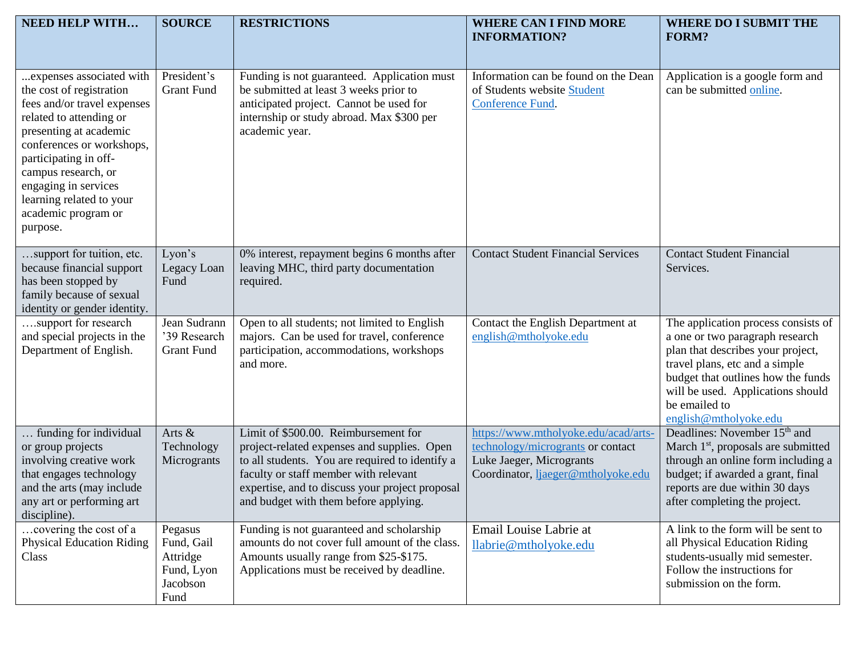| <b>NEED HELP WITH</b>                                                                                                                                                                                                                                                                                        | <b>SOURCE</b>                                                       | <b>RESTRICTIONS</b>                                                                                                                                                                                                                                                         | <b>WHERE CAN I FIND MORE</b><br><b>INFORMATION?</b>                                                                                         | <b>WHERE DO I SUBMIT THE</b><br><b>FORM?</b>                                                                                                                                                                                                                       |
|--------------------------------------------------------------------------------------------------------------------------------------------------------------------------------------------------------------------------------------------------------------------------------------------------------------|---------------------------------------------------------------------|-----------------------------------------------------------------------------------------------------------------------------------------------------------------------------------------------------------------------------------------------------------------------------|---------------------------------------------------------------------------------------------------------------------------------------------|--------------------------------------------------------------------------------------------------------------------------------------------------------------------------------------------------------------------------------------------------------------------|
| expenses associated with<br>the cost of registration<br>fees and/or travel expenses<br>related to attending or<br>presenting at academic<br>conferences or workshops,<br>participating in off-<br>campus research, or<br>engaging in services<br>learning related to your<br>academic program or<br>purpose. | President's<br><b>Grant Fund</b>                                    | Funding is not guaranteed. Application must<br>be submitted at least 3 weeks prior to<br>anticipated project. Cannot be used for<br>internship or study abroad. Max \$300 per<br>academic year.                                                                             | Information can be found on the Dean<br>of Students website Student<br>Conference Fund.                                                     | Application is a google form and<br>can be submitted online.                                                                                                                                                                                                       |
| support for tuition, etc.<br>because financial support<br>has been stopped by<br>family because of sexual<br>identity or gender identity.                                                                                                                                                                    | Lyon's<br>Legacy Loan<br>Fund                                       | 0% interest, repayment begins 6 months after<br>leaving MHC, third party documentation<br>required.                                                                                                                                                                         | <b>Contact Student Financial Services</b>                                                                                                   | <b>Contact Student Financial</b><br>Services.                                                                                                                                                                                                                      |
| support for research<br>and special projects in the<br>Department of English.                                                                                                                                                                                                                                | Jean Sudrann<br>'39 Research<br><b>Grant Fund</b>                   | Open to all students; not limited to English<br>majors. Can be used for travel, conference<br>participation, accommodations, workshops<br>and more.                                                                                                                         | Contact the English Department at<br>english@mtholyoke.edu                                                                                  | The application process consists of<br>a one or two paragraph research<br>plan that describes your project,<br>travel plans, etc and a simple<br>budget that outlines how the funds<br>will be used. Applications should<br>be emailed to<br>english@mtholyoke.edu |
| funding for individual<br>or group projects<br>involving creative work<br>that engages technology<br>and the arts (may include<br>any art or performing art<br>discipline).                                                                                                                                  | Arts &<br>Technology<br>Microgrants                                 | Limit of \$500.00. Reimbursement for<br>project-related expenses and supplies. Open<br>to all students. You are required to identify a<br>faculty or staff member with relevant<br>expertise, and to discuss your project proposal<br>and budget with them before applying. | https://www.mtholyoke.edu/acad/arts-<br>technology/microgrants or contact<br>Luke Jaeger, Microgrants<br>Coordinator, ljaeger@mtholyoke.edu | Deadlines: November 15 <sup>th</sup> and<br>March 1 <sup>st</sup> , proposals are submitted<br>through an online form including a<br>budget; if awarded a grant, final<br>reports are due within 30 days<br>after completing the project.                          |
| covering the cost of a<br><b>Physical Education Riding</b><br>Class                                                                                                                                                                                                                                          | Pegasus<br>Fund, Gail<br>Attridge<br>Fund, Lyon<br>Jacobson<br>Fund | Funding is not guaranteed and scholarship<br>amounts do not cover full amount of the class.<br>Amounts usually range from \$25-\$175.<br>Applications must be received by deadline.                                                                                         | Email Louise Labrie at<br>llabrie@mtholyoke.edu                                                                                             | A link to the form will be sent to<br>all Physical Education Riding<br>students-usually mid semester.<br>Follow the instructions for<br>submission on the form.                                                                                                    |